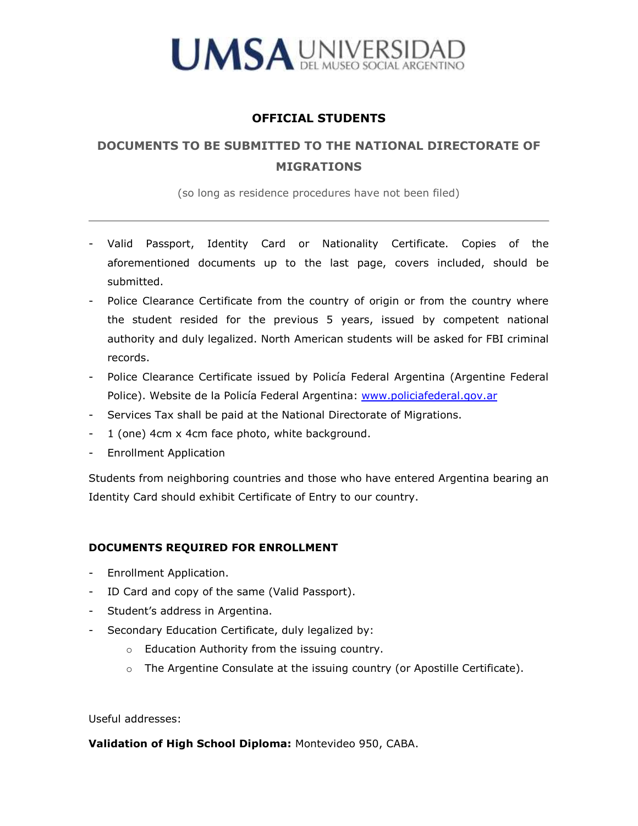

## **OFFICIAL STUDENTS**

## **DOCUMENTS TO BE SUBMITTED TO THE NATIONAL DIRECTORATE OF MIGRATIONS**

(so long as residence procedures have not been filed)

- Valid Passport, Identity Card or Nationality Certificate. Copies of the aforementioned documents up to the last page, covers included, should be submitted.
- Police Clearance Certificate from the country of origin or from the country where the student resided for the previous 5 years, issued by competent national authority and duly legalized. North American students will be asked for FBI criminal records.
- Police Clearance Certificate issued by Policía Federal Argentina (Argentine Federal Police). Website de la Policía Federal Argentina: [www.policiafederal.gov.ar](http://www.policiafederal.gov.arl/)
- Services Tax shall be paid at the National Directorate of Migrations.
- 1 (one) 4cm x 4cm face photo, white background.
- Enrollment Application

Students from neighboring countries and those who have entered Argentina bearing an Identity Card should exhibit Certificate of Entry to our country.

## **DOCUMENTS REQUIRED FOR ENROLLMENT**

- Enrollment Application.
- ID Card and copy of the same (Valid Passport).
- Student's address in Argentina.
- Secondary Education Certificate, duly legalized by:
	- o Education Authority from the issuing country.
	- o The Argentine Consulate at the issuing country (or Apostille Certificate).

Useful addresses:

**Validation of High School Diploma:** Montevideo 950, CABA.